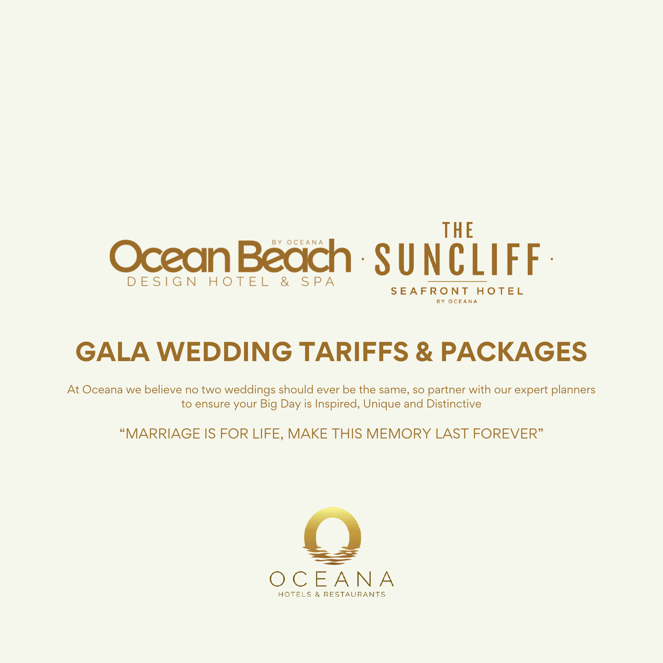

# **GALA WEDDING TARIFFS & PACKAGES**

At Oceana we believe no two weddings should ever be the same, so partner with our expert planners to ensure your Big Day is Inspired, Unique and Distinctive

"MARRIAGE IS FOR LIFE, MAKE THIS MEMORY LAST FOREVER"

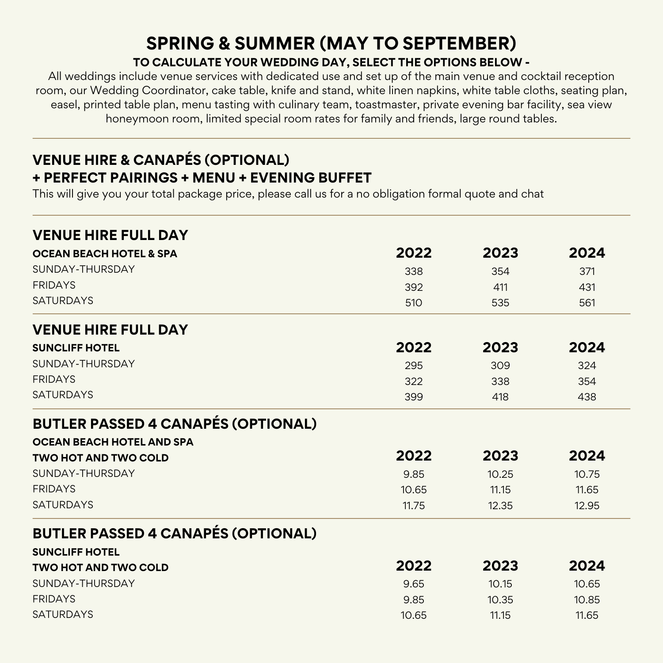## **SPRING & SUMMER (MAY TO SEPTEMBER) TO CALCULATE YOUR WEDDING DAY, SELECT THE OPTIONS BELOW -**

All weddings include venue services with dedicated use and set up of the main venue and cocktail reception room, our Wedding Coordinator, cake table, knife and stand, white linen napkins, white table cloths, seating plan, easel, printed table plan, menu tasting with culinary team, toastmaster, private evening bar facility, sea view honeymoon room, limited special room rates for family and friends, large round tables.

## **VENUE HIRE & CANAPÉS (OPTIONAL) + PERFECT PAIRINGS + MENU + EVENING BUFFET**

This will give you your total package price, please call us for a no obligation formal quote and chat

| <b>VENUE HIRE FULL DAY</b>                            |                   |                   |       |
|-------------------------------------------------------|-------------------|-------------------|-------|
| <b>OCEAN BEACH HOTEL &amp; SPA</b>                    | 2022              | 2023              | 2024  |
| SUNDAY-THURSDAY<br><b>FRIDAYS</b><br><b>SATURDAYS</b> | 338<br>392<br>510 | 354<br>411<br>535 | 371   |
|                                                       |                   |                   | 431   |
|                                                       |                   |                   | 561   |
| <b>VENUE HIRE FULL DAY</b>                            |                   |                   |       |
| <b>SUNCLIFF HOTEL</b>                                 | 2022              | 2023              | 2024  |
| SUNDAY-THURSDAY                                       | 295               | 309               | 324   |
| <b>FRIDAYS</b>                                        | 322               | 338               | 354   |
| <b>SATURDAYS</b>                                      | 399               | 418               | 438   |
| <b>BUTLER PASSED 4 CANAPÉS (OPTIONAL)</b>             |                   |                   |       |
| <b>OCEAN BEACH HOTEL AND SPA</b>                      |                   |                   |       |
| <b>TWO HOT AND TWO COLD</b>                           | 2022              | 2023              | 2024  |
| SUNDAY-THURSDAY                                       | 9.85              | 10.25             | 10.75 |
| <b>FRIDAYS</b>                                        | 10.65             | 11.15             | 11.65 |
| <b>SATURDAYS</b>                                      | 11.75             | 12.35             | 12.95 |
| <b>BUTLER PASSED 4 CANAPÉS (OPTIONAL)</b>             |                   |                   |       |
| <b>SUNCLIFF HOTEL</b>                                 |                   |                   |       |
| <b>TWO HOT AND TWO COLD</b>                           | 2022              | 2023              | 2024  |
| SUNDAY-THURSDAY                                       | 9.65              | 10.15             | 10.65 |
| <b>FRIDAYS</b>                                        | 9.85              | 10.35             | 10.85 |
| <b>SATURDAYS</b>                                      | 10.65             | 11.15             | 11.65 |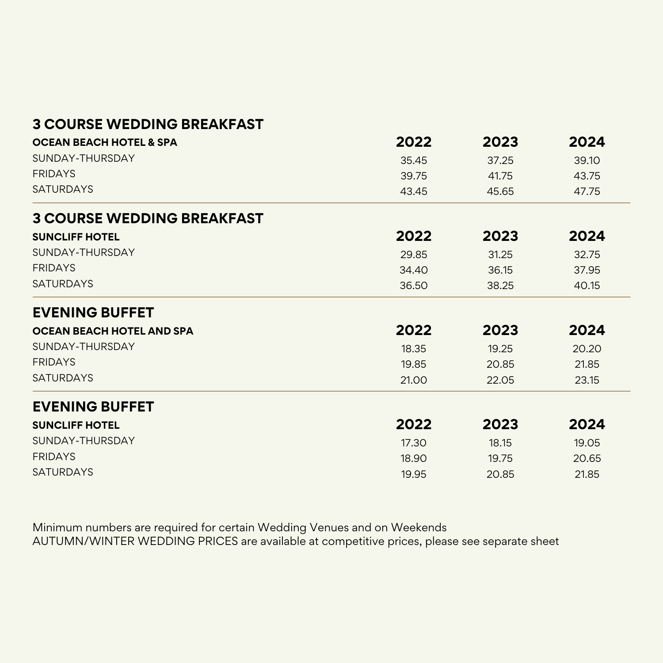| <b>3 COURSE WEDDING BREAKFAST</b>                     |       |                                 |                |
|-------------------------------------------------------|-------|---------------------------------|----------------|
| <b>OCEAN BEACH HOTEL &amp; SPA</b>                    | 2022  | 2023<br>37.25<br>41.75<br>45.65 | 2024           |
| SUNDAY-THURSDAY<br><b>FRIDAYS</b><br><b>SATURDAYS</b> | 35.45 |                                 | 39.10          |
|                                                       | 39.75 |                                 | 43.75<br>47.75 |
|                                                       | 43.45 |                                 |                |
| <b>3 COURSE WEDDING BREAKFAST</b>                     |       |                                 |                |
| <b>SUNCLIFF HOTEL</b>                                 | 2022  | 2023                            | 2024           |
| SUNDAY-THURSDAY                                       | 29.85 | 31.25                           | 32.75          |
| <b>FRIDAYS</b>                                        | 34.40 | 36.15                           | 37.95          |
| <b>SATURDAYS</b>                                      | 36.50 | 38.25                           | 40.15          |
| <b>EVENING BUFFET</b>                                 |       |                                 |                |
| <b>OCEAN BEACH HOTEL AND SPA</b>                      | 2022  | 2023                            | 2024           |
| SUNDAY-THURSDAY                                       | 18.35 | 19.25                           | 20.20          |
| <b>FRIDAYS</b>                                        | 19.85 | 20.85                           | 21.85          |
| <b>SATURDAYS</b>                                      | 21.00 | 22.05                           | 23.15          |
| <b>EVENING BUFFET</b>                                 |       |                                 |                |
| <b>SUNCLIFF HOTEL</b>                                 | 2022  | 2023                            | 2024           |
| SUNDAY-THURSDAY                                       | 17.30 | 18.15                           | 19.05          |
| <b>FRIDAYS</b>                                        | 18.90 | 19.75                           | 20.65          |
| <b>SATURDAYS</b>                                      | 19.95 | 20.85                           | 21.85          |

Minimum numbers are required for certain Wedding Venues and on Weekends AUTUMN/WINTER WEDDING PRICES are available at competitive prices, please see separate sheet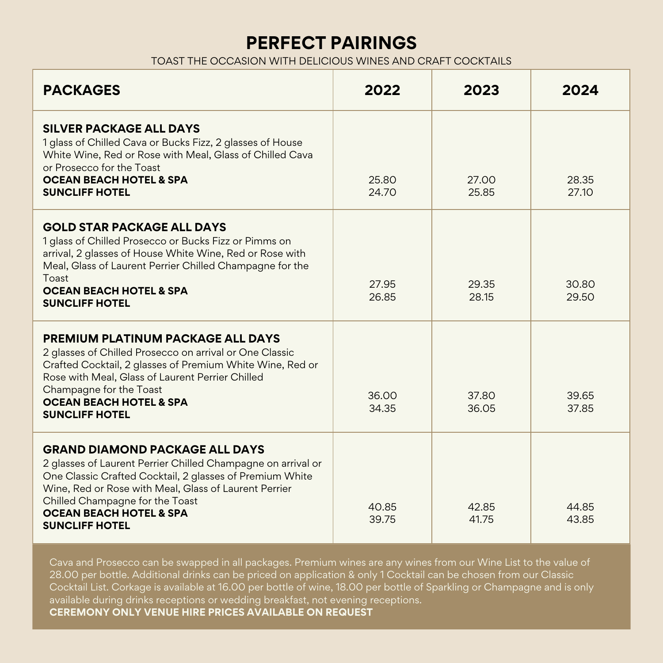## **PERFECT PAIRINGS**

TOAST THE OCCASION WITH DELICIOUS WINES AND CRAFT COCKTAILS

| <b>PACKAGES</b>                                                                                                                                                                                                                                                                                                              | 2022           | 2023           | 2024           |
|------------------------------------------------------------------------------------------------------------------------------------------------------------------------------------------------------------------------------------------------------------------------------------------------------------------------------|----------------|----------------|----------------|
| <b>SILVER PACKAGE ALL DAYS</b><br>1 glass of Chilled Cava or Bucks Fizz, 2 glasses of House<br>White Wine, Red or Rose with Meal, Glass of Chilled Cava<br>or Prosecco for the Toast<br><b>OCEAN BEACH HOTEL &amp; SPA</b><br><b>SUNCLIFF HOTEL</b>                                                                          | 25.80<br>24.70 | 27.00<br>25.85 | 28.35<br>27.10 |
| <b>GOLD STAR PACKAGE ALL DAYS</b><br>1 glass of Chilled Prosecco or Bucks Fizz or Pimms on<br>arrival, 2 glasses of House White Wine, Red or Rose with<br>Meal, Glass of Laurent Perrier Chilled Champagne for the<br>Toast<br><b>OCEAN BEACH HOTEL &amp; SPA</b><br><b>SUNCLIFF HOTEL</b>                                   | 27.95<br>26.85 | 29.35<br>28.15 | 30.80<br>29.50 |
| <b>PREMIUM PLATINUM PACKAGE ALL DAYS</b><br>2 glasses of Chilled Prosecco on arrival or One Classic<br>Crafted Cocktail, 2 glasses of Premium White Wine, Red or<br>Rose with Meal, Glass of Laurent Perrier Chilled<br>Champagne for the Toast<br><b>OCEAN BEACH HOTEL &amp; SPA</b><br><b>SUNCLIFF HOTEL</b>               | 36.00<br>34.35 | 37.80<br>36.05 | 39.65<br>37.85 |
| <b>GRAND DIAMOND PACKAGE ALL DAYS</b><br>2 glasses of Laurent Perrier Chilled Champagne on arrival or<br>One Classic Crafted Cocktail, 2 glasses of Premium White<br>Wine, Red or Rose with Meal, Glass of Laurent Perrier<br>Chilled Champagne for the Toast<br><b>OCEAN BEACH HOTEL &amp; SPA</b><br><b>SUNCLIFF HOTEL</b> | 40.85<br>39.75 | 42.85<br>41.75 | 44.85<br>43.85 |

Cava and Prosecco can be swapped in all packages. Premium wines are any wines from our Wine List to the value of 28.00 per bottle. Additional drinks can be priced on application & only 1 Cocktail can be chosen from our Classic Cocktail List. Corkage is available at 16.00 per bottle of wine, 18.00 per bottle of Sparkling or Champagne and is only available during drinks receptions or wedding breakfast, not evening receptions. **CEREMONY ONLY VENUE HIRE PRICES AVAILABLE ON REQUEST**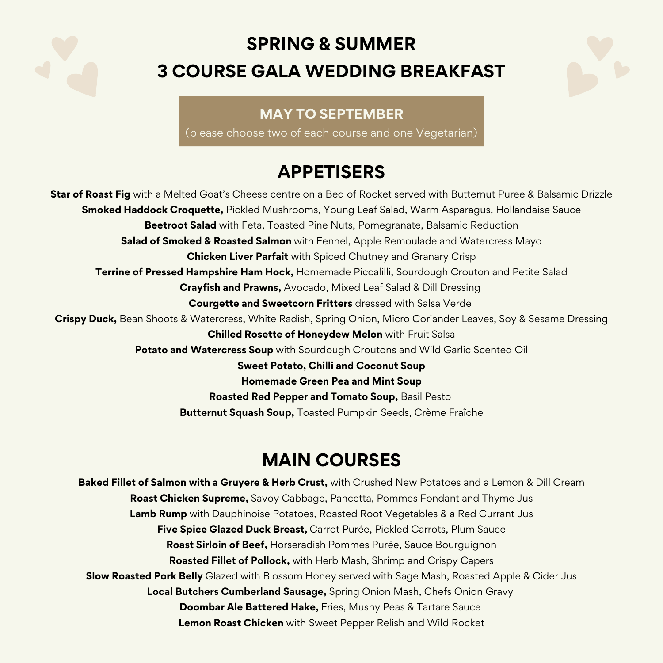

# **SPRING & SUMMER 3 COURSE GALA WEDDING BREAKFAST**

**MAY TO SEPTEMBER**

(please choose two of each course and one Vegetarian)

## **APPETISERS**

**Star of Roast Fig** with a Melted Goat's Cheese centre on a Bed of Rocket served with Butternut Puree & Balsamic Drizzle **Smoked Haddock Croquette,** Pickled Mushrooms, Young Leaf Salad, Warm Asparagus, Hollandaise Sauce **Beetroot Salad** with Feta, Toasted Pine Nuts, Pomegranate, Balsamic Reduction **Salad of Smoked & Roasted Salmon** with Fennel, Apple Remoulade and Watercress Mayo **Chicken Liver Parfait** with Spiced Chutney and Granary Crisp **Terrine of Pressed Hampshire Ham Hock,** Homemade Piccalilli, Sourdough Crouton and Petite Salad **Crayfish and Prawns,** Avocado, Mixed Leaf Salad & Dill Dressing **Courgette and Sweetcorn Fritters** dressed with Salsa Verde **Crispy Duck,** Bean Shoots & Watercress, White Radish, Spring Onion, Micro Coriander Leaves, Soy & Sesame Dressing **Chilled Rosette of Honeydew Melon** with Fruit Salsa **Potato and Watercress Soup** with Sourdough Croutons and Wild Garlic Scented Oil **Sweet Potato, Chilli and Coconut Soup Homemade Green Pea and Mint Soup Roasted Red Pepper and Tomato Soup,** Basil Pesto **Butternut Squash Soup,** Toasted Pumpkin Seeds, Crème Fraîche

## **MAIN COURSES**

**Baked Fillet of Salmon with a Gruyere & Herb Crust,** with Crushed New Potatoes and a Lemon & Dill Cream **Roast Chicken Supreme,** Savoy Cabbage, Pancetta, Pommes Fondant and Thyme Jus **Lamb Rump** with Dauphinoise Potatoes, Roasted Root Vegetables & a Red Currant Jus **Five Spice Glazed Duck Breast,** Carrot Purée, Pickled Carrots, Plum Sauce **Roast Sirloin of Beef,** Horseradish Pommes Purée, Sauce Bourguignon **Roasted Fillet of Pollock,** with Herb Mash, Shrimp and Crispy Capers **Slow Roasted Pork Belly** Glazed with Blossom Honey served with Sage Mash, Roasted Apple & Cider Jus **Local Butchers Cumberland Sausage,** Spring Onion Mash, Chefs Onion Gravy **Doombar Ale Battered Hake,** Fries, Mushy Peas & Tartare Sauce **Lemon Roast Chicken** with Sweet Pepper Relish and Wild Rocket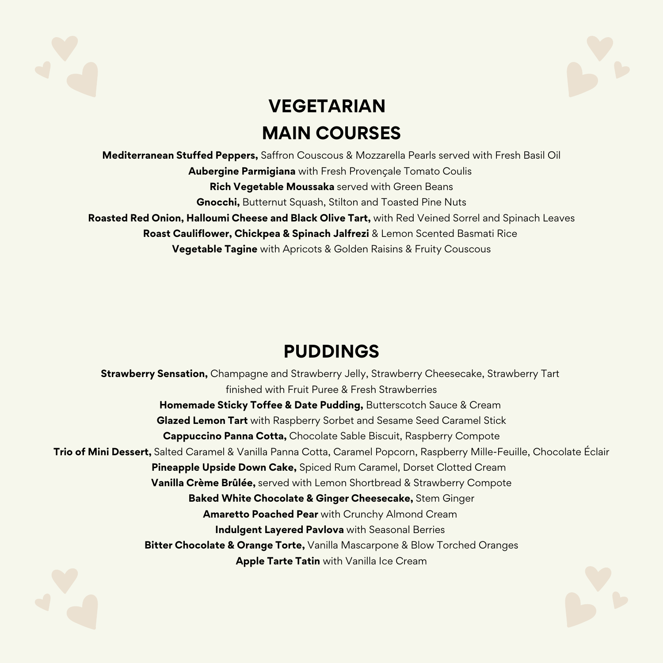



# **VEGETARIAN MAIN COURSES**

**Mediterranean Stuffed Peppers,** Saffron Couscous & Mozzarella Pearls served with Fresh Basil Oil **Aubergine Parmigiana** with Fresh Provençale Tomato Coulis **Rich Vegetable Moussaka** served with Green Beans **Gnocchi,** Butternut Squash, Stilton and Toasted Pine Nuts **Roasted Red Onion, Halloumi Cheese and Black Olive Tart,** with Red Veined Sorrel and Spinach Leaves

**Roast Cauliflower, Chickpea & Spinach Jalfrezi** & Lemon Scented Basmati Rice **Vegetable Tagine** with Apricots & Golden Raisins & Fruity Couscous

## **PUDDINGS**

**Strawberry Sensation,** Champagne and Strawberry Jelly, Strawberry Cheesecake, Strawberry Tart finished with Fruit Puree & Fresh Strawberries **Homemade Sticky Toffee & Date Pudding,** Butterscotch Sauce & Cream **Glazed Lemon Tart** with Raspberry Sorbet and Sesame Seed Caramel Stick **Cappuccino Panna Cotta,** Chocolate Sable Biscuit, Raspberry Compote **Trio of Mini Dessert,** Salted Caramel & Vanilla Panna Cotta, Caramel Popcorn, Raspberry Mille-Feuille, Chocolate Éclair **Pineapple Upside Down Cake,** Spiced Rum Caramel, Dorset Clotted Cream **Vanilla Crème Brûlée,** served with Lemon Shortbread & Strawberry Compote **Baked White Chocolate & Ginger Cheesecake,** Stem Ginger **Amaretto Poached Pear** with Crunchy Almond Cream **Indulgent Layered Pavlova** with Seasonal Berries **Bitter Chocolate & Orange Torte,** Vanilla Mascarpone & Blow Torched Oranges **Apple Tarte Tatin** with Vanilla Ice Cream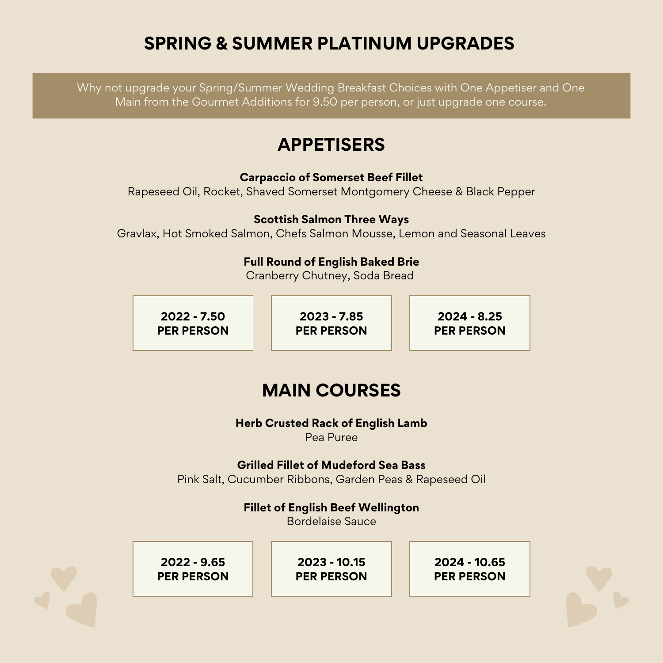## **SPRING & SUMMER PLATINUM UPGRADES**

Why not upgrade your Spring/Summer Wedding Breakfast Choices with One Appetiser and One Main from the Gourmet Additions for 9.50 per person, or just upgrade one course.

## **APPETISERS**

### **Carpaccio of Somerset Beef Fillet**

Rapeseed Oil, Rocket, Shaved Somerset Montgomery Cheese & Black Pepper

### **Scottish Salmon Three Ways**

Gravlax, Hot Smoked Salmon, Chefs Salmon Mousse, Lemon and Seasonal Leaves

### **Full Round of English Baked Brie**

Cranberry Chutney, Soda Bread

**2022 - 7.50 PER PERSON**

**2023 - 7.85 PER PERSON**

**2024 - 8.25 PER PERSON**

## **MAIN COURSES**

## **Herb Crusted Rack of English Lamb**

Pea Puree

### **Grilled Fillet of Mudeford Sea Bass**

Pink Salt, Cucumber Ribbons, Garden Peas & Rapeseed Oil

### **Fillet of English Beef Wellington**

Bordelaise Sauce

**2022 - 9.65 PER PERSON**

**2023 - 10.15 PER PERSON**

**2024 - 10.65 PER PERSON**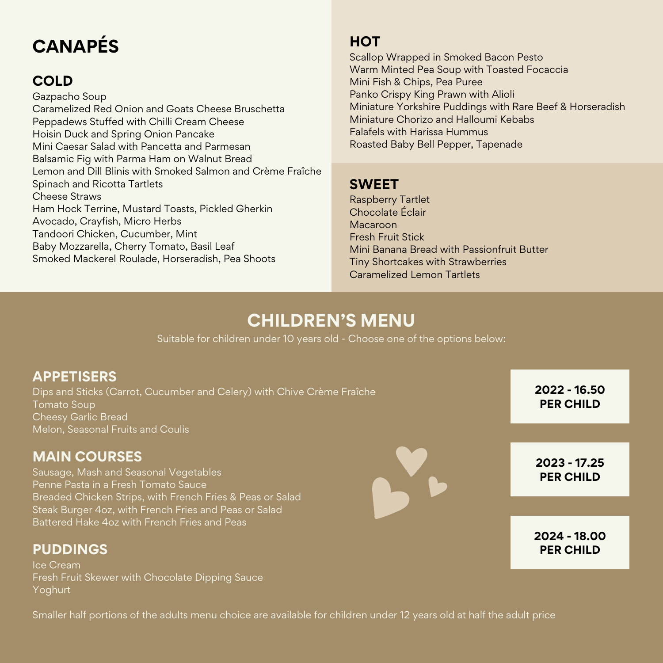# **CANAPÉS**

## **COLD**

Gazpacho Soup Caramelized Red Onion and Goats Cheese Bruschetta Peppadews Stuffed with Chilli Cream Cheese Hoisin Duck and Spring Onion Pancake Mini Caesar Salad with Pancetta and Parmesan Balsamic Fig with Parma Ham on Walnut Bread Lemon and Dill Blinis with Smoked Salmon and Crème Fraîche Spinach and Ricotta Tartlets Cheese Straws Ham Hock Terrine, Mustard Toasts, Pickled Gherkin Avocado, Crayfish, Micro Herbs Tandoori Chicken, Cucumber, Mint Baby Mozzarella, Cherry Tomato, Basil Leaf Smoked Mackerel Roulade, Horseradish, Pea Shoots

## **HOT**

Scallop Wrapped in Smoked Bacon Pesto Warm Minted Pea Soup with Toasted Focaccia Mini Fish & Chips, Pea Puree Panko Crispy King Prawn with Alioli Miniature Yorkshire Puddings with Rare Beef & Horseradish Miniature Chorizo and Halloumi Kebabs Falafels with Harissa Hummus Roasted Baby Bell Pepper, Tapenade

## **SWEET**

Raspberry Tartlet Chocolate Éclair Macaroon Fresh Fruit Stick Mini Banana Bread with Passionfruit Butter Tiny Shortcakes with Strawberries Caramelized Lemon Tartlets

## **CHILDREN'S MENU**

Suitable for children under 10 years old - Choose one of the options below:

### **APPETISERS**

Dips and Sticks (Carrot, Cucumber and Celery) with Chive Crème Fraîche Tomato Soup Cheesy Garlic Bread Melon, Seasonal Fruits and Coulis

## **MAIN COURSES**

Sausage, Mash and Seasonal Vegetables Penne Pasta in a Fresh Tomato Sauce Breaded Chicken Strips, with French Fries & Peas or Salad Steak Burger 4oz, with French Fries and Peas or Salad Battered Hake 4oz with French Fries and Peas

### **PUDDINGS**

Ice Cream Fresh Fruit Skewer with Chocolate Dipping Sauce Yoghurt

**2022 - 16.50 PER CHILD**

**2023 - 17.25 PER CHILD**

**2024 - 18.00 PER CHILD**

Smaller half portions of the adults menu choice are available for children under 12 years old at half the adult price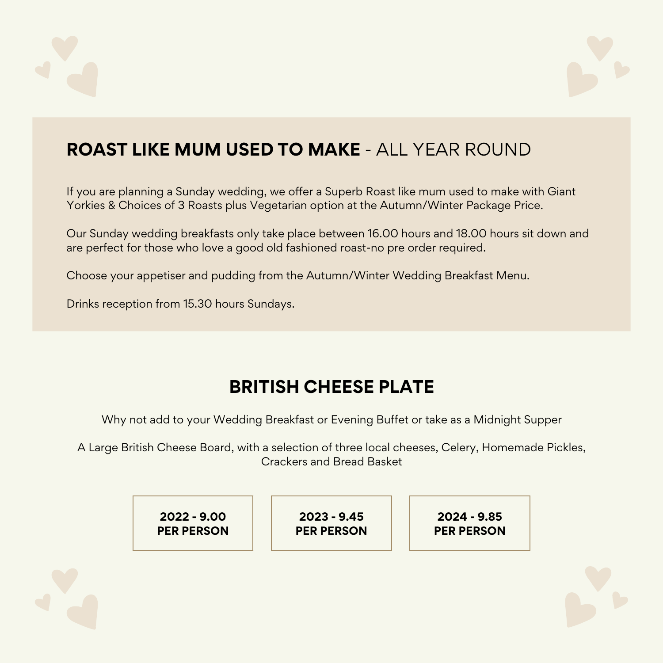



## **ROAST LIKE MUM USED TO MAKE** - ALL YEAR ROUND

If you are planning a Sunday wedding, we offer a Superb Roast like mum used to make with Giant Yorkies & Choices of 3 Roasts plus Vegetarian option at the Autumn/Winter Package Price.

Our Sunday wedding breakfasts only take place between 16.00 hours and 18.00 hours sit down and are perfect for those who love a good old fashioned roast-no pre order required.

Choose your appetiser and pudding from the Autumn/Winter Wedding Breakfast Menu.

Drinks reception from 15.30 hours Sundays.

## **BRITISH CHEESE PLATE**

Why not add to your Wedding Breakfast or Evening Buffet or take as a Midnight Supper

A Large British Cheese Board, with a selection of three local cheeses, Celery, Homemade Pickles, Crackers and Bread Basket

> **2022 - 9.00 PER PERSON**

**2023 - 9.45 PER PERSON**

**2024 - 9.85 PER PERSON**

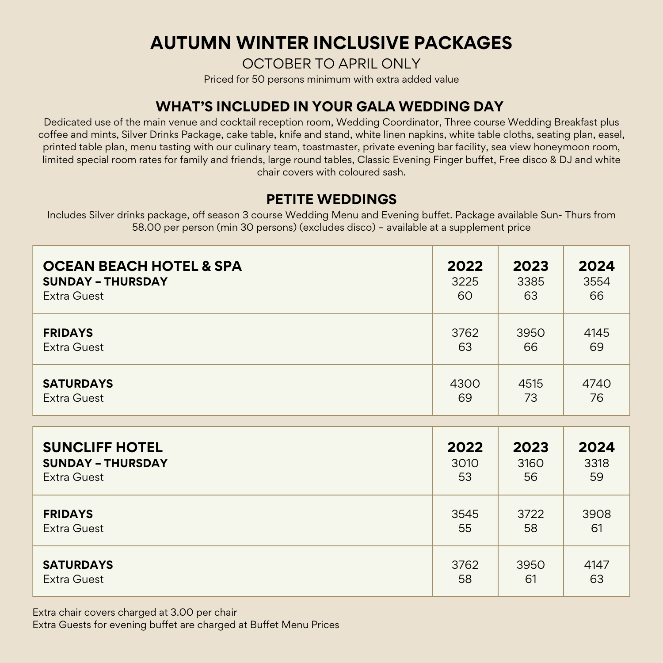## **AUTUMN WINTER INCLUSIVE PACKAGES**

OCTOBER TO APRIL ONLY

Priced for 50 persons minimum with extra added value

### **WHAT'S INCLUDED IN YOUR GALA WEDDING DAY**

Dedicated use of the main venue and cocktail reception room, Wedding Coordinator, Three course Wedding Breakfast plus coffee and mints, Silver Drinks Package, cake table, knife and stand, white linen napkins, white table cloths, seating plan, easel, printed table plan, menu tasting with our culinary team, toastmaster, private evening bar facility, sea view honeymoon room, limited special room rates for family and friends, large round tables, Classic Evening Finger buffet, Free disco & DJ and white chair covers with coloured sash.

### **PETITE WEDDINGS**

Includes Silver drinks package, off season 3 course Wedding Menu and Evening buffet. Package available Sun- Thurs from 58.00 per person (min 30 persons) (excludes disco) – available at a supplement price

| <b>OCEAN BEACH HOTEL &amp; SPA</b> | 2022 | 2023 | 2024 |
|------------------------------------|------|------|------|
| <b>SUNDAY - THURSDAY</b>           | 3225 | 3385 | 3554 |
| Extra Guest                        | 60   | 63   | 66   |
| <b>FRIDAYS</b>                     | 3762 | 3950 | 4145 |
| Extra Guest                        | 63   | 66   | 69   |
| <b>SATURDAYS</b>                   | 4300 | 4515 | 4740 |
| Extra Guest                        | 69   | 73   | 76   |

| <b>SUNCLIFF HOTEL</b>    | 2022 | 2023 | 2024 |
|--------------------------|------|------|------|
| <b>SUNDAY - THURSDAY</b> | 3010 | 3160 | 3318 |
| Extra Guest              | 53   | 56   | 59   |
| <b>FRIDAYS</b>           | 3545 | 3722 | 3908 |
| Extra Guest              | 55   | 58   | 61   |
| <b>SATURDAYS</b>         | 3762 | 3950 | 4147 |
| Extra Guest              | 58   | 61   | 63   |

Extra chair covers charged at 3.00 per chair Extra Guests for evening buffet are charged at Buffet Menu Prices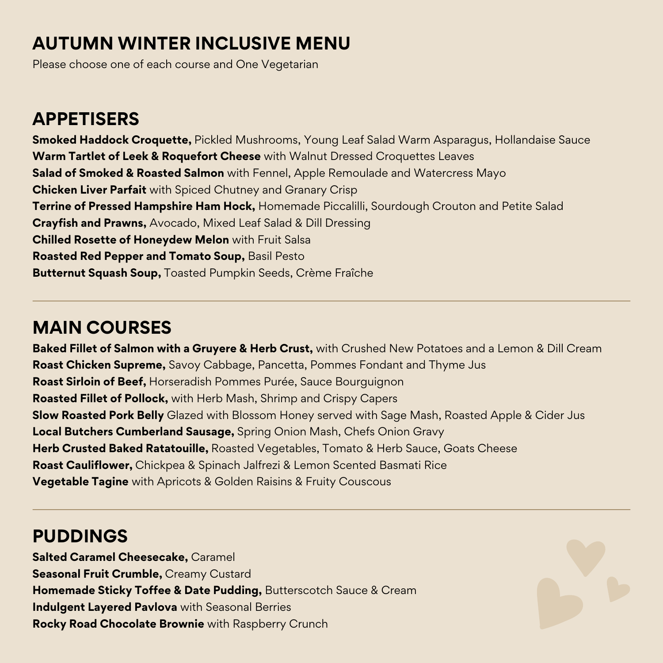## **AUTUMN WINTER INCLUSIVE MENU**

Please choose one of each course and One Vegetarian

## **APPETISERS**

**Smoked Haddock Croquette,** Pickled Mushrooms, Young Leaf Salad Warm Asparagus, Hollandaise Sauce **Warm Tartlet of Leek & Roquefort Cheese** with Walnut Dressed Croquettes Leaves **Salad of Smoked & Roasted Salmon** with Fennel, Apple Remoulade and Watercress Mayo **Chicken Liver Parfait** with Spiced Chutney and Granary Crisp **Terrine of Pressed Hampshire Ham Hock,** Homemade Piccalilli, Sourdough Crouton and Petite Salad **Crayfish and Prawns,** Avocado, Mixed Leaf Salad & Dill Dressing **Chilled Rosette of Honeydew Melon** with Fruit Salsa **Roasted Red Pepper and Tomato Soup,** Basil Pesto **Butternut Squash Soup,** Toasted Pumpkin Seeds, Crème Fraîche

## **MAIN COURSES**

**Baked Fillet of Salmon with a Gruyere & Herb Crust,** with Crushed New Potatoes and a Lemon & Dill Cream **Roast Chicken Supreme,** Savoy Cabbage, Pancetta, Pommes Fondant and Thyme Jus **Roast Sirloin of Beef,** Horseradish Pommes Purée, Sauce Bourguignon **Roasted Fillet of Pollock,** with Herb Mash, Shrimp and Crispy Capers **Slow Roasted Pork Belly** Glazed with Blossom Honey served with Sage Mash, Roasted Apple & Cider Jus **Local Butchers Cumberland Sausage,** Spring Onion Mash, Chefs Onion Gravy **Herb Crusted Baked Ratatouille,** Roasted Vegetables, Tomato & Herb Sauce, Goats Cheese **Roast Cauliflower,** Chickpea & Spinach Jalfrezi & Lemon Scented Basmati Rice **Vegetable Tagine** with Apricots & Golden Raisins & Fruity Couscous

## **PUDDINGS**

**Salted Caramel Cheesecake,** Caramel **Seasonal Fruit Crumble, Creamy Custard Homemade Sticky Toffee & Date Pudding,** Butterscotch Sauce & Cream **Indulgent Layered Pavlova** with Seasonal Berries **Rocky Road Chocolate Brownie** with Raspberry Crunch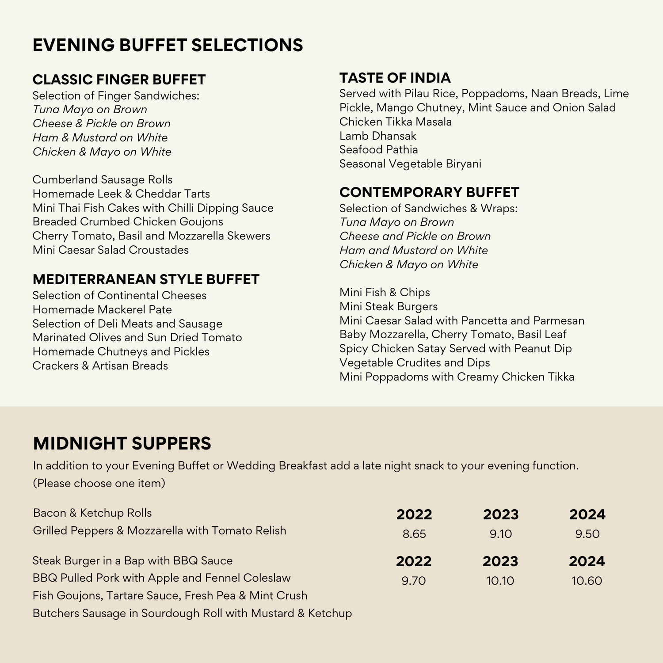## **EVENING BUFFET SELECTIONS**

## **CLASSIC FINGER BUFFET**

Selection of Finger Sandwiches: *Tuna Mayo on Brown Cheese & Pickle on Brown Ham & Mustard on White Chicken & Mayo on White*

Cumberland Sausage Rolls Homemade Leek & Cheddar Tarts Mini Thai Fish Cakes with Chilli Dipping Sauce Breaded Crumbed Chicken Goujons Cherry Tomato, Basil and Mozzarella Skewers Mini Caesar Salad Croustades

## **MEDITERRANEAN STYLE BUFFET**

Selection of Continental Cheeses Homemade Mackerel Pate Selection of Deli Meats and Sausage Marinated Olives and Sun Dried Tomato Homemade Chutneys and Pickles Crackers & Artisan Breads

## **TASTE OF INDIA**

Served with Pilau Rice, Poppadoms, Naan Breads, Lime Pickle, Mango Chutney, Mint Sauce and Onion Salad Chicken Tikka Masala Lamb Dhansak Seafood Pathia Seasonal Vegetable Biryani

### **CONTEMPORARY BUFFET**

Selection of Sandwiches & Wraps: *Tuna Mayo on Brown Cheese and Pickle on Brown Ham and Mustard on White Chicken & Mayo on White*

Mini Fish & Chips Mini Steak Burgers Mini Caesar Salad with Pancetta and Parmesan Baby Mozzarella, Cherry Tomato, Basil Leaf Spicy Chicken Satay Served with Peanut Dip Vegetable Crudites and Dips Mini Poppadoms with Creamy Chicken Tikka

## **MIDNIGHT SUPPERS**

In addition to your Evening Buffet or Wedding Breakfast add a late night snack to your evening function. (Please choose one item)

| Bacon & Ketchup Rolls                                     | 2022 | 2023  | 2024  |
|-----------------------------------------------------------|------|-------|-------|
| Grilled Peppers & Mozzarella with Tomato Relish           | 8.65 | 9.10  | 9.50  |
| Steak Burger in a Bap with BBQ Sauce                      | 2022 | 2023  | 2024  |
| BBQ Pulled Pork with Apple and Fennel Coleslaw            | 9.70 | 10.10 | 10.60 |
| Fish Goujons, Tartare Sauce, Fresh Pea & Mint Crush       |      |       |       |
| Butchers Sausage in Sourdough Roll with Mustard & Ketchup |      |       |       |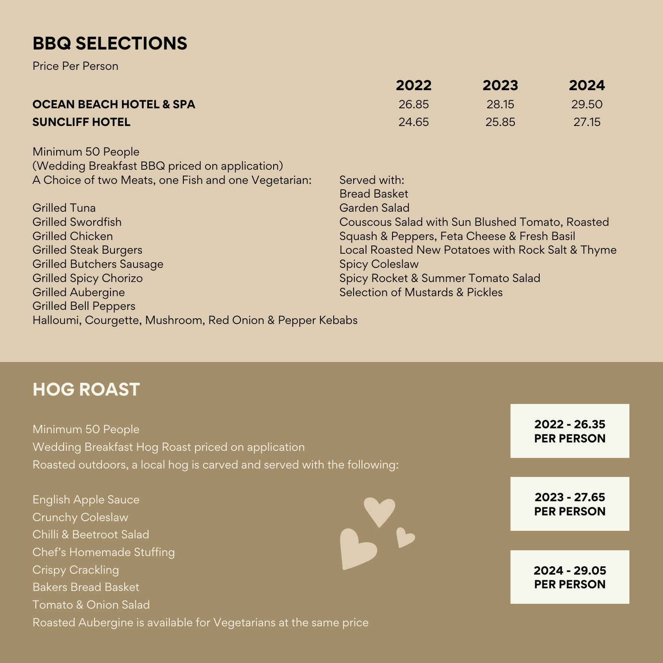## **BBQ SELECTIONS**

Price Per Person

|                                                          | 2022                                              | 2023  | 2024  |
|----------------------------------------------------------|---------------------------------------------------|-------|-------|
| <b>OCEAN BEACH HOTEL &amp; SPA</b>                       | 26.85                                             | 28.15 | 29.50 |
| <b>SUNCLIFF HOTEL</b>                                    | 24.65                                             | 25.85 | 27.15 |
| Minimum 50 People                                        |                                                   |       |       |
| (Wedding Breakfast BBQ priced on application)            |                                                   |       |       |
| A Choice of two Meats, one Fish and one Vegetarian:      | Served with:<br><b>Bread Basket</b>               |       |       |
| <b>Grilled Tuna</b>                                      | Garden Salad                                      |       |       |
| <b>Grilled Swordfish</b>                                 | Couscous Salad with Sun Blushed Tomato, Roasted   |       |       |
| <b>Grilled Chicken</b>                                   | Squash & Peppers, Feta Cheese & Fresh Basil       |       |       |
| <b>Grilled Steak Burgers</b>                             | Local Roasted New Potatoes with Rock Salt & Thyme |       |       |
| <b>Grilled Butchers Sausage</b>                          | <b>Spicy Coleslaw</b>                             |       |       |
| <b>Grilled Spicy Chorizo</b>                             | Spicy Rocket & Summer Tomato Salad                |       |       |
| <b>Grilled Aubergine</b>                                 | <b>Selection of Mustards &amp; Pickles</b>        |       |       |
| <b>Grilled Bell Peppers</b>                              |                                                   |       |       |
| Halloumi, Courgette, Mushroom, Red Onion & Pepper Kebabs |                                                   |       |       |

## **HOG ROAST**

| Minimum 50 People<br>Wedding Breakfast Hog Roast priced on application | $2022 - 26.35$<br><b>PER PERSON</b> |
|------------------------------------------------------------------------|-------------------------------------|
| Roasted outdoors, a local hog is carved and served with the following: |                                     |
| <b>English Apple Sauce</b><br>Crunchy Coleslaw                         | $2023 - 27.65$<br><b>PER PERSON</b> |
| Chilli & Beetroot Salad                                                |                                     |
| Chef's Homemade Stuffing                                               |                                     |
| Crispy Crackling                                                       | 2024 - 29.05                        |
| <b>Bakers Bread Basket</b>                                             | <b>PER PERSON</b>                   |
| <b>Tomato &amp; Onion Salad</b>                                        |                                     |
| Roasted Aubergine is available for Vegetarians at the same price       |                                     |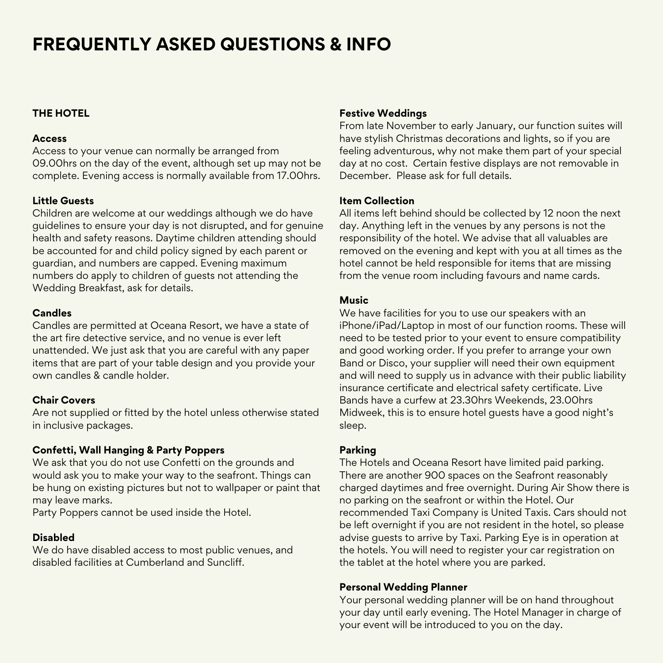## **FREQUENTLY ASKED QUESTIONS & INFO**

#### **THE HOTEL**

#### **Access**

Access to your venue can normally be arranged from 09.00hrs on the day of the event, although set up may not be complete. Evening access is normally available from 17.00hrs.

#### **Little Guests**

Children are welcome at our weddings although we do have guidelines to ensure your day is not disrupted, and for genuine health and safety reasons. Daytime children attending should be accounted for and child policy signed by each parent or guardian, and numbers are capped. Evening maximum numbers do apply to children of guests not attending the Wedding Breakfast, ask for details.

#### **Candles**

Candles are permitted at Oceana Resort, we have a state of the art fire detective service, and no venue is ever left unattended. We just ask that you are careful with any paper items that are part of your table design and you provide your own candles & candle holder.

#### **Chair Covers**

Are not supplied or fitted by the hotel unless otherwise stated in inclusive packages.

#### **Confetti, Wall Hanging & Party Poppers**

We ask that you do not use Confetti on the grounds and would ask you to make your way to the seafront. Things can be hung on existing pictures but not to wallpaper or paint that may leave marks.

Party Poppers cannot be used inside the Hotel.

#### **Disabled**

We do have disabled access to most public venues, and disabled facilities at Cumberland and Suncliff.

#### **Festive Weddings**

From late November to early January, our function suites will have stylish Christmas decorations and lights, so if you are feeling adventurous, why not make them part of your special day at no cost. Certain festive displays are not removable in December. Please ask for full details.

#### **Item Collection**

All items left behind should be collected by 12 noon the next day. Anything left in the venues by any persons is not the responsibility of the hotel. We advise that all valuables are removed on the evening and kept with you at all times as the hotel cannot be held responsible for items that are missing from the venue room including favours and name cards.

#### **Music**

We have facilities for you to use our speakers with an iPhone/iPad/Laptop in most of our function rooms. These will need to be tested prior to your event to ensure compatibility and good working order. If you prefer to arrange your own Band or Disco, your supplier will need their own equipment and will need to supply us in advance with their public liability insurance certificate and electrical safety certificate. Live Bands have a curfew at 23.30hrs Weekends, 23.00hrs Midweek, this is to ensure hotel guests have a good night's sleep.

#### **Parking**

The Hotels and Oceana Resort have limited paid parking. There are another 900 spaces on the Seafront reasonably charged daytimes and free overnight. During Air Show there is no parking on the seafront or within the Hotel. Our recommended Taxi Company is United Taxis. Cars should not be left overnight if you are not resident in the hotel, so please advise guests to arrive by Taxi. Parking Eye is in operation at the hotels. You will need to register your car registration on the tablet at the hotel where you are parked.

#### **Personal Wedding Planner**

Your personal wedding planner will be on hand throughout your day until early evening. The Hotel Manager in charge of your event will be introduced to you on the day.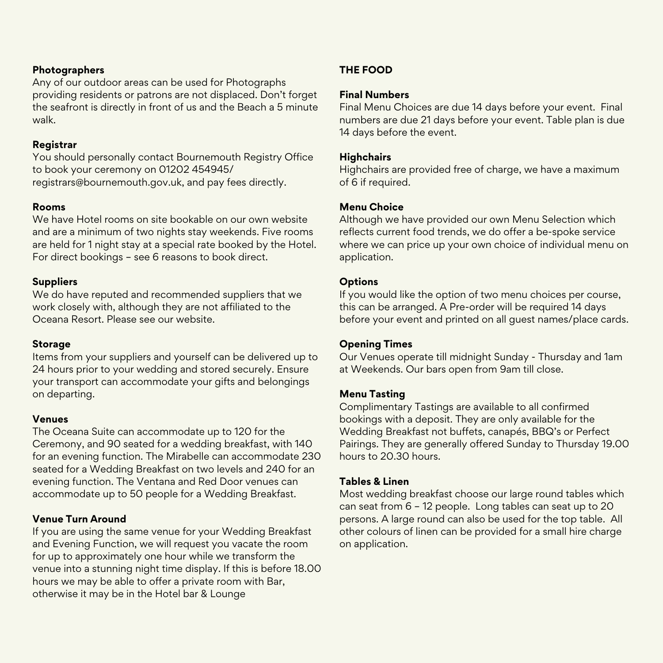#### **Photographers**

Any of our outdoor areas can be used for Photographs providing residents or patrons are not displaced. Don't forget the seafront is directly in front of us and the Beach a 5 minute walk.

#### **Registrar**

You should personally contact Bournemouth Registry Office to book your ceremony on 01202 454945/ registrars@bournemouth.gov.uk, and pay fees directly.

### **Rooms**

We have Hotel rooms on site bookable on our own website and are a minimum of two nights stay weekends. Five rooms are held for 1 night stay at a special rate booked by the Hotel. For direct bookings – see 6 reasons to book direct.

### **Suppliers**

We do have reputed and recommended suppliers that we work closely with, although they are not affiliated to the Oceana Resort. Please see our website.

### **Storage**

Items from your suppliers and yourself can be delivered up to 24 hours prior to your wedding and stored securely. Ensure your transport can accommodate your gifts and belongings on departing.

#### **Venues**

The Oceana Suite can accommodate up to 120 for the Ceremony, and 90 seated for a wedding breakfast, with 140 for an evening function. The Mirabelle can accommodate 230 seated for a Wedding Breakfast on two levels and 240 for an evening function. The Ventana and Red Door venues can accommodate up to 50 people for a Wedding Breakfast.

### **Venue Turn Around**

If you are using the same venue for your Wedding Breakfast and Evening Function, we will request you vacate the room for up to approximately one hour while we transform the venue into a stunning night time display. If this is before 18.00 hours we may be able to offer a private room with Bar, otherwise it may be in the Hotel bar & Lounge

### **THE FOOD**

#### **Final Numbers**

Final Menu Choices are due 14 days before your event. Final numbers are due 21 days before your event. Table plan is due 14 days before the event.

#### **Highchairs**

Highchairs are provided free of charge, we have a maximum of 6 if required.

### **Menu Choice**

Although we have provided our own Menu Selection which reflects current food trends, we do offer a be-spoke service where we can price up your own choice of individual menu on application.

### **Options**

If you would like the option of two menu choices per course, this can be arranged. A Pre-order will be required 14 days before your event and printed on all guest names/place cards.

### **Opening Times**

Our Venues operate till midnight Sunday - Thursday and 1am at Weekends. Our bars open from 9am till close.

### **Menu Tasting**

Complimentary Tastings are available to all confirmed bookings with a deposit. They are only available for the Wedding Breakfast not buffets, canapés, BBQ's or Perfect Pairings. They are generally offered Sunday to Thursday 19.00 hours to 20.30 hours.

### **Tables & Linen**

Most wedding breakfast choose our large round tables which can seat from 6 – 12 people. Long tables can seat up to 20 persons. A large round can also be used for the top table. All other colours of linen can be provided for a small hire charge on application.